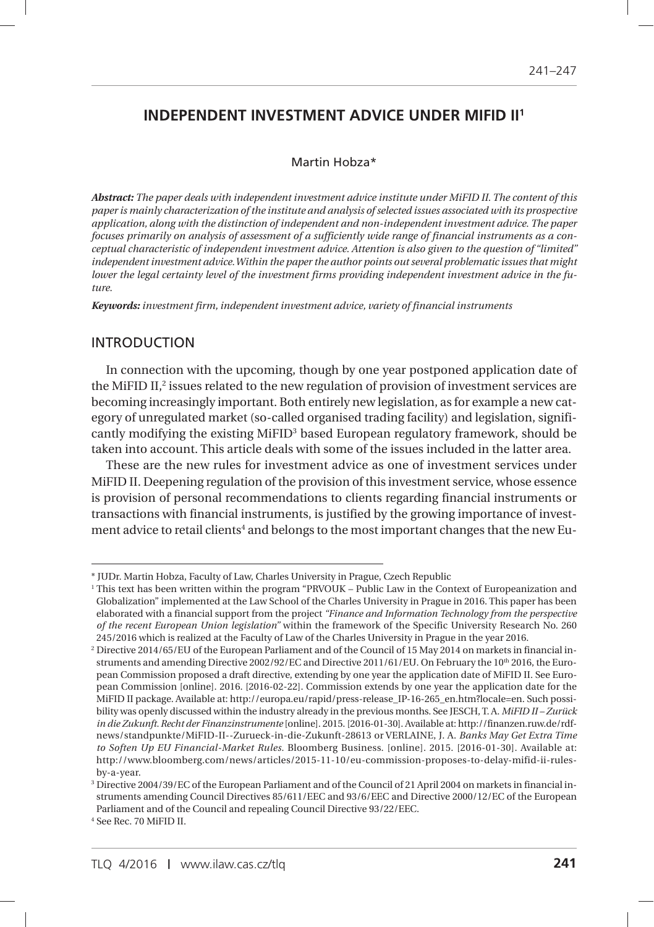# **INDEPENDENT INVESTMENT ADVICE UNDER MIFID II1**

### Martin Hobza\*

*Abstract: The paper deals with independent investment advice institute under MiFID II. The content of this paper is mainly characterization of the institute and analysis of selected issues associated with its prospective application, along with the distinction of independent and non-independent investment advice. The paper focuses primarily on analysis of assessment of a sufficiently wide range of financial instruments as a conceptual characteristic of independent investment advice. Attention is also given to the question of "limited" independent investment advice. Within the paper the author points out several problematic issues that might lower the legal certainty level of the investment firms providing independent investment advice in the future.*

*Keywords: investment firm, independent investment advice, variety of financial instruments*

### INTRODUCTION

In connection with the upcoming, though by one year postponed application date of the MiFID  $II<sub>1</sub><sup>2</sup>$  issues related to the new regulation of provision of investment services are becoming increasingly important. Both entirely new legislation, as for example a new category of unregulated market (so-called organised trading facility) and legislation, significantly modifying the existing MiFID3 based European regulatory framework, should be taken into account. This article deals with some of the issues included in the latter area.

These are the new rules for investment advice as one of investment services under MiFID II. Deepening regulation of the provision of this investment service, whose essence is provision of personal recommendations to clients regarding financial instruments or transactions with financial instruments, is justified by the growing importance of investment advice to retail clients<sup>4</sup> and belongs to the most important changes that the new Eu-

<sup>\*</sup> JUDr. Martin Hobza, Faculty of Law, Charles University in Prague, Czech Republic

<sup>1</sup> This text has been written within the program "PRVOUK – Public Law in the Context of Europeanization and Globalization" implemented at the Law School of the Charles University in Prague in 2016. This paper has been elaborated with a financial support from the project *"Finance and Information Technology from the perspective of the recent European Union legislation"* within the framework of the Specific University Research No. 260 245/2016 which is realized at the Faculty of Law of the Charles University in Prague in the year 2016.

<sup>2</sup> Directive 2014/65/EU of the European Parliament and of the Council of 15 May 2014 on markets in financial instruments and amending Directive 2002/92/EC and Directive 2011/61/EU. On February the 10<sup>th</sup> 2016, the European Commission proposed a draft directive, extending by one year the application date of MiFID II. See European Commission [online]. 2016. [2016-02-22]. Commission extends by one year the application date for the MiFID II package. Available at: http://europa.eu/rapid/press-release\_IP-16-265\_en.htm?locale=en. Such possibility was openly discussed within the industry already in the previous months. See JESCH, T. A. *MiFID II – Zurück in die Zukunft. Recht der Finanzinstrumente* [online]. 2015. [2016-01-30]. Available at: http://finanzen.ruw.de/rdfnews/standpunkte/MiFID-II--Zurueck-in-die-Zukunft-28613 or VERLAINE, J. A. *Banks May Get Extra Time to Soften Up EU Financial-Market Rules.* Bloomberg Business. [online]. 2015. [2016-01-30]. Available at: http://www.bloomberg.com/news/articles/2015-11-10/eu-commission-proposes-to-delay-mifid-ii-rulesby-a-year.

<sup>3</sup> Directive 2004/39/EC of the European Parliament and of the Council of 21 April 2004 on markets in financial instruments amending Council Directives 85/611/EEC and 93/6/EEC and Directive 2000/12/EC of the European Parliament and of the Council and repealing Council Directive 93/22/EEC.

<sup>4</sup> See Rec. 70 MiFID II.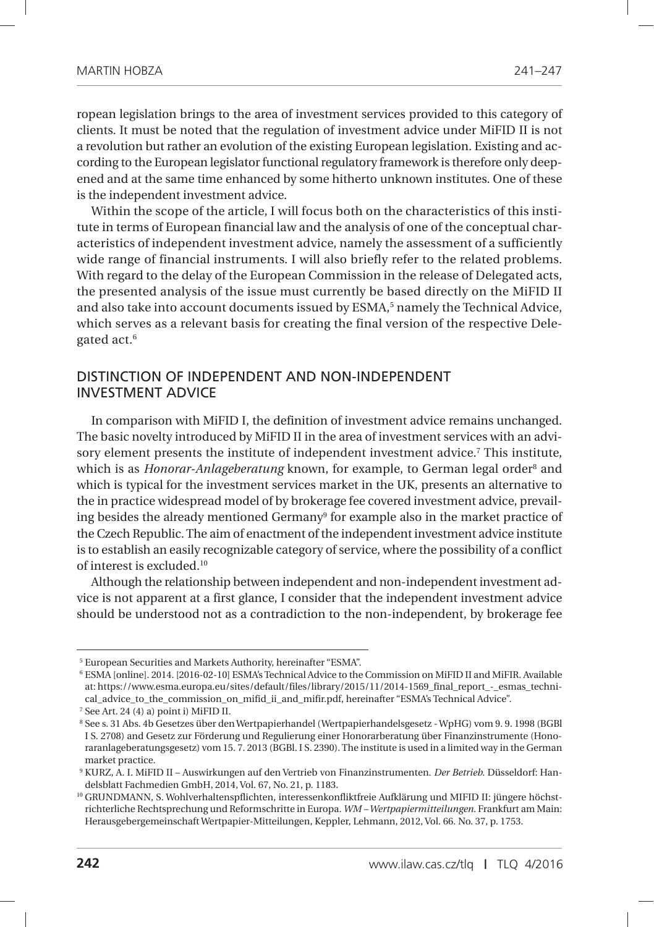ropean legislation brings to the area of investment services provided to this category of clients. It must be noted that the regulation of investment advice under MiFID II is not a revolution but rather an evolution of the existing European legislation. Existing and according to the European legislator functional regulatory framework is therefore only deepened and at the same time enhanced by some hitherto unknown institutes. One of these is the independent investment advice.

Within the scope of the article, I will focus both on the characteristics of this institute in terms of European financial law and the analysis of one of the conceptual characteristics of independent investment advice, namely the assessment of a sufficiently wide range of financial instruments. I will also briefly refer to the related problems. With regard to the delay of the European Commission in the release of Delegated acts, the presented analysis of the issue must currently be based directly on the MiFID II and also take into account documents issued by ESMA,<sup>5</sup> namely the Technical Advice, which serves as a relevant basis for creating the final version of the respective Delegated act.<sup>6</sup>

# DISTINCTION OF INDEPENDENT AND NON-INDEPENDENT INVESTMENT ADVICE

In comparison with MiFID I, the definition of investment advice remains unchanged. The basic novelty introduced by MiFID II in the area of investment services with an advisory element presents the institute of independent investment advice.<sup>7</sup> This institute, which is as *Honorar-Anlageberatung* known, for example, to German legal order<sup>8</sup> and which is typical for the investment services market in the UK, presents an alternative to the in practice widespread model of by brokerage fee covered investment advice, prevailing besides the already mentioned Germany9 for example also in the market practice of the Czech Republic. The aim of enactment of the independent investment advice institute is to establish an easily recognizable category of service, where the possibility of a conflict of interest is excluded.10

Although the relationship between independent and non-independent investment advice is not apparent at a first glance, I consider that the independent investment advice should be understood not as a contradiction to the non-independent, by brokerage fee

<sup>5</sup> European Securities and Markets Authority, hereinafter "ESMA".

<sup>6</sup> ESMA [online]. 2014. [2016-02-10] ESMA's Technical Advice to the Commission on MiFID II and MiFIR. Available at: https://www.esma.europa.eu/sites/default/files/library/2015/11/2014-1569\_final\_report\_-\_esmas\_technical\_advice\_to\_the\_commission\_on\_mifid\_ii\_and\_mifir.pdf, hereinafter "ESMA's Technical Advice".

<sup>7</sup> See Art. 24 (4) a) point i) MiFID II.

<sup>8</sup> See s. 31 Abs. 4b Gesetzes über den Wertpapierhandel (Wertpapierhandelsgesetz - WpHG) vom 9. 9. 1998 (BGBl I S. 2708) and Gesetz zur Förderung und Regulierung einer Honorarberatung über Finanzinstrumente (Honoraranlageberatungsgesetz) vom 15. 7. 2013 (BGBl. I S. 2390). The institute is used in a limited way in the German market practice.

<sup>9</sup> KURZ, A. I. MiFID II – Auswirkungen auf den Vertrieb von Finanzinstrumenten. *Der Betrieb*. Düsseldorf: Handelsblatt Fachmedien GmbH, 2014, Vol. 67, No. 21, p. 1183.

<sup>10</sup> GRUNDMANN, S. Wohlverhaltenspflichten, interessenkonfliktfreie Aufklärung und MIFID II: jüngere höchstrichterliche Rechtsprechung und Reformschritte in Europa. *WM – Wertpapiermitteilungen*. Frankfurt am Main: Herausgebergemeinschaft Wertpapier-Mitteilungen, Keppler, Lehmann, 2012, Vol. 66. No. 37, p. 1753.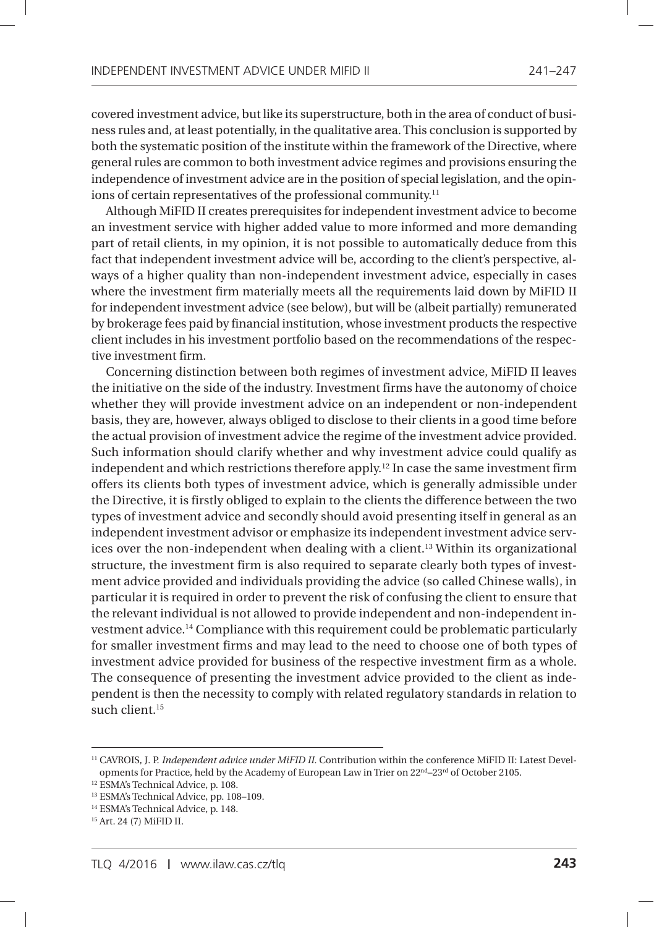covered investment advice, but like its superstructure, both in the area of conduct of business rules and, at least potentially, in the qualitative area. This conclusion is supported by both the systematic position of the institute within the framework of the Directive, where general rules are common to both investment advice regimes and provisions ensuring the independence of investment advice are in the position of special legislation, and the opinions of certain representatives of the professional community.11

Although MiFID II creates prerequisites for independent investment advice to become an investment service with higher added value to more informed and more demanding part of retail clients, in my opinion, it is not possible to automatically deduce from this fact that independent investment advice will be, according to the client's perspective, always of a higher quality than non-independent investment advice, especially in cases where the investment firm materially meets all the requirements laid down by MiFID II for independent investment advice (see below), but will be (albeit partially) remunerated by brokerage fees paid by financial institution, whose investment products the respective client includes in his investment portfolio based on the recommendations of the respective investment firm.

Concerning distinction between both regimes of investment advice, MiFID II leaves the initiative on the side of the industry. Investment firms have the autonomy of choice whether they will provide investment advice on an independent or non-independent basis, they are, however, always obliged to disclose to their clients in a good time before the actual provision of investment advice the regime of the investment advice provided. Such information should clarify whether and why investment advice could qualify as independent and which restrictions therefore apply.<sup>12</sup> In case the same investment firm offers its clients both types of investment advice, which is generally admissible under the Directive, it is firstly obliged to explain to the clients the difference between the two types of investment advice and secondly should avoid presenting itself in general as an independent investment advisor or emphasize its independent investment advice services over the non-independent when dealing with a client.13 Within its organizational structure, the investment firm is also required to separate clearly both types of investment advice provided and individuals providing the advice (so called Chinese walls), in particular it is required in order to prevent the risk of confusing the client to ensure that the relevant individual is not allowed to provide independent and non-independent investment advice.14 Compliance with this requirement could be problematic particularly for smaller investment firms and may lead to the need to choose one of both types of investment advice provided for business of the respective investment firm as a whole. The consequence of presenting the investment advice provided to the client as independent is then the necessity to comply with related regulatory standards in relation to such client.<sup>15</sup>

<sup>&</sup>lt;sup>11</sup> CAVROIS, J. P. *Independent advice under MiFID II*. Contribution within the conference MiFID II: Latest Developments for Practice, held by the Academy of European Law in Trier on 22nd–23rd of October 2105.

<sup>12</sup> ESMA's Technical Advice, p. 108.

<sup>13</sup> ESMA's Technical Advice, pp. 108–109.

<sup>14</sup> ESMA's Technical Advice, p. 148.

<sup>15</sup> Art. 24 (7) MiFID II.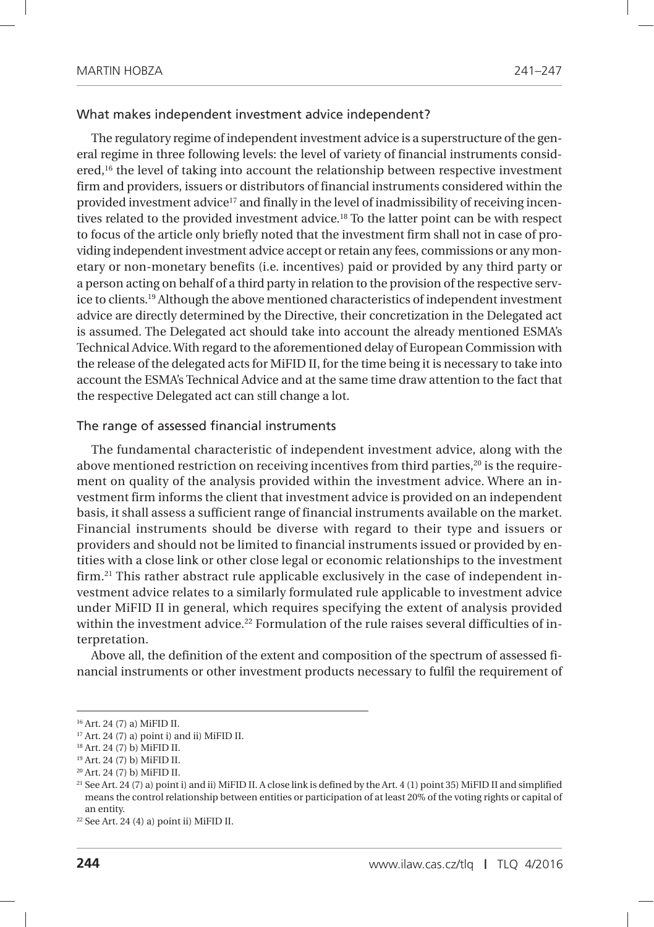## What makes independent investment advice independent?

The regulatory regime of independent investment advice is a superstructure of the general regime in three following levels: the level of variety of financial instruments considered,16 the level of taking into account the relationship between respective investment firm and providers, issuers or distributors of financial instruments considered within the provided investment advice<sup>17</sup> and finally in the level of inadmissibility of receiving incentives related to the provided investment advice.18 To the latter point can be with respect to focus of the article only briefly noted that the investment firm shall not in case of providing independent investment advice accept or retain any fees, commissions or any monetary or non-monetary benefits (i.e. incentives) paid or provided by any third party or a person acting on behalf of a third party in relation to the provision of the respective service to clients.19 Although the above mentioned characteristics of independent investment advice are directly determined by the Directive, their concretization in the Delegated act is assumed. The Delegated act should take into account the already mentioned ESMA's Technical Advice. With regard to the aforementioned delay of European Commission with the release of the delegated acts for MiFID II, for the time being it is necessary to take into account the ESMA's Technical Advice and at the same time draw attention to the fact that the respective Delegated act can still change a lot.

### The range of assessed financial instruments

The fundamental characteristic of independent investment advice, along with the above mentioned restriction on receiving incentives from third parties,<sup>20</sup> is the requirement on quality of the analysis provided within the investment advice. Where an investment firm informs the client that investment advice is provided on an independent basis, it shall assess a sufficient range of financial instruments available on the market. Financial instruments should be diverse with regard to their type and issuers or providers and should not be limited to financial instruments issued or provided by entities with a close link or other close legal or economic relationships to the investment firm.21 This rather abstract rule applicable exclusively in the case of independent investment advice relates to a similarly formulated rule applicable to investment advice under MiFID II in general, which requires specifying the extent of analysis provided within the investment advice.<sup>22</sup> Formulation of the rule raises several difficulties of interpretation.

Above all, the definition of the extent and composition of the spectrum of assessed financial instruments or other investment products necessary to fulfil the requirement of

<sup>16</sup> Art. 24 (7) a) MiFID II.

 $17$  Art. 24 (7) a) point i) and ii) MiFID II.

<sup>18</sup> Art. 24 (7) b) MiFID II.

<sup>19</sup> Art. 24 (7) b) MiFID II.

<sup>20</sup> Art. 24 (7) b) MiFID II.

<sup>&</sup>lt;sup>21</sup> See Art. 24 (7) a) point i) and ii) MiFID II. A close link is defined by the Art. 4 (1) point 35) MiFID II and simplified means the control relationship between entities or participation of at least 20% of the voting rights or capital of an entity.

<sup>22</sup> See Art. 24 (4) a) point ii) MiFID II.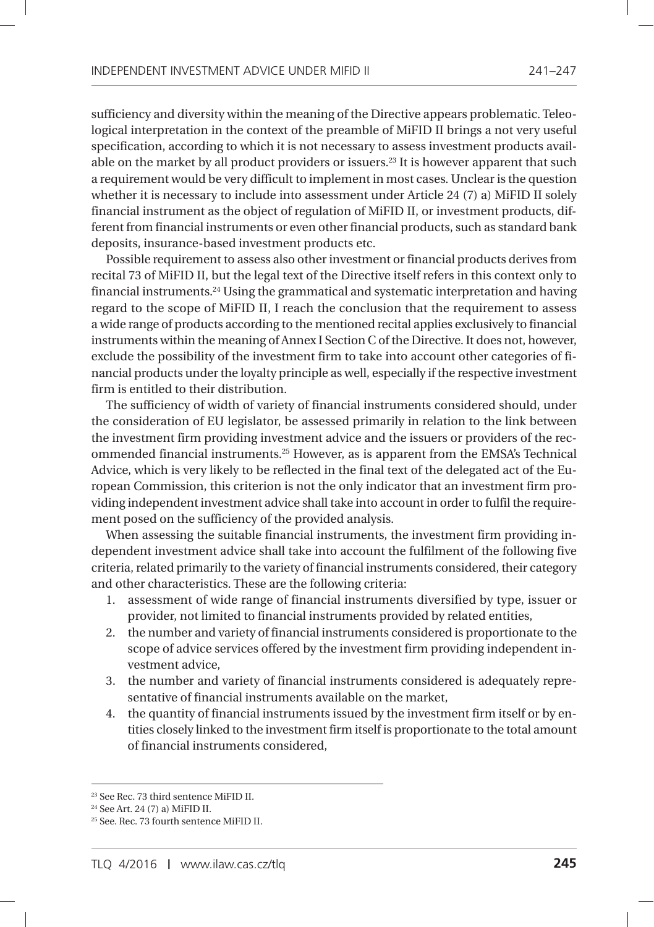sufficiency and diversity within the meaning of the Directive appears problematic. Teleological interpretation in the context of the preamble of MiFID II brings a not very useful specification, according to which it is not necessary to assess investment products available on the market by all product providers or issuers.<sup>23</sup> It is however apparent that such a requirement would be very difficult to implement in most cases. Unclear is the question whether it is necessary to include into assessment under Article 24 (7) a) MiFID II solely financial instrument as the object of regulation of MiFID II, or investment products, different from financial instruments or even other financial products, such as standard bank deposits, insurance-based investment products etc.

Possible requirement to assess also other investment or financial products derives from recital 73 of MiFID II, but the legal text of the Directive itself refers in this context only to financial instruments.24 Using the grammatical and systematic interpretation and having regard to the scope of MiFID II, I reach the conclusion that the requirement to assess a wide range of products according to the mentioned recital applies exclusively to financial instruments within the meaning of Annex I Section C of the Directive. It does not, however, exclude the possibility of the investment firm to take into account other categories of financial products under the loyalty principle as well, especially if the respective investment firm is entitled to their distribution.

The sufficiency of width of variety of financial instruments considered should, under the consideration of EU legislator, be assessed primarily in relation to the link between the investment firm providing investment advice and the issuers or providers of the recommended financial instruments.25 However, as is apparent from the EMSA's Technical Advice, which is very likely to be reflected in the final text of the delegated act of the European Commission, this criterion is not the only indicator that an investment firm providing independent investment advice shall take into account in order to fulfil the requirement posed on the sufficiency of the provided analysis.

When assessing the suitable financial instruments, the investment firm providing independent investment advice shall take into account the fulfilment of the following five criteria, related primarily to the variety of financial instruments considered, their category and other characteristics. These are the following criteria:

- 1. assessment of wide range of financial instruments diversified by type, issuer or provider, not limited to financial instruments provided by related entities,
- 2. the number and variety of financial instruments considered is proportionate to the scope of advice services offered by the investment firm providing independent investment advice,
- 3. the number and variety of financial instruments considered is adequately representative of financial instruments available on the market,
- 4. the quantity of financial instruments issued by the investment firm itself or by entities closely linked to the investment firm itself is proportionate to the total amount of financial instruments considered,

<sup>23</sup> See Rec. 73 third sentence MiFID II.

<sup>24</sup> See Art. 24 (7) a) MiFID II.

<sup>&</sup>lt;sup>25</sup> See. Rec. 73 fourth sentence MiFID II.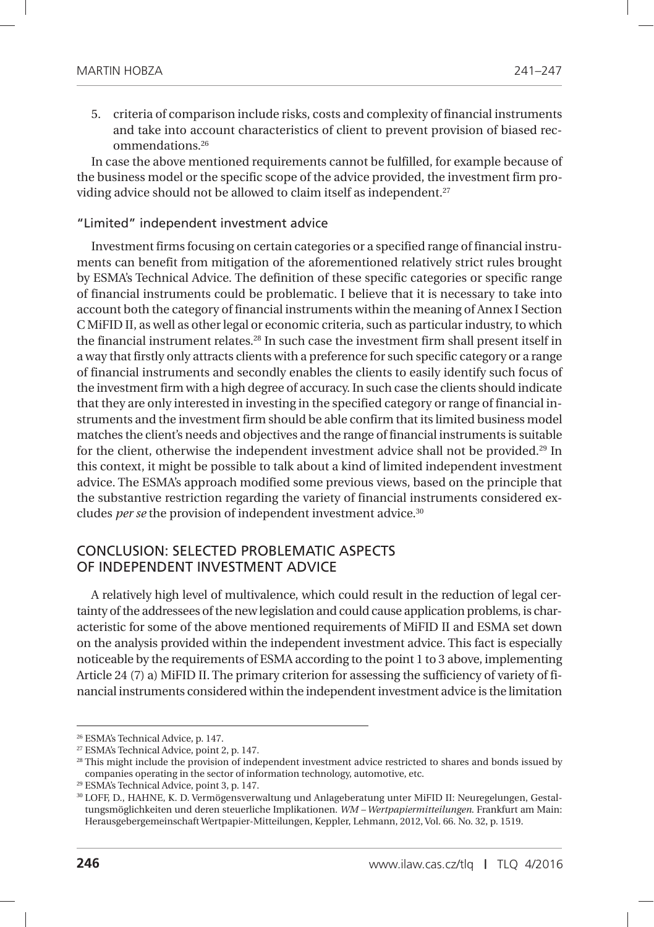5. criteria of comparison include risks, costs and complexity of financial instruments and take into account characteristics of client to prevent provision of biased recommendations.26

In case the above mentioned requirements cannot be fulfilled, for example because of the business model or the specific scope of the advice provided, the investment firm providing advice should not be allowed to claim itself as independent.<sup>27</sup>

## "Limited" independent investment advice

Investment firms focusing on certain categories or a specified range of financial instruments can benefit from mitigation of the aforementioned relatively strict rules brought by ESMA's Technical Advice. The definition of these specific categories or specific range of financial instruments could be problematic. I believe that it is necessary to take into account both the category of financial instruments within the meaning of Annex I Section C MiFID II, as well as other legal or economic criteria, such as particular industry, to which the financial instrument relates.28 In such case the investment firm shall present itself in a way that firstly only attracts clients with a preference for such specific category or a range of financial instruments and secondly enables the clients to easily identify such focus of the investment firm with a high degree of accuracy. In such case the clients should indicate that they are only interested in investing in the specified category or range of financial instruments and the investment firm should be able confirm that its limited business model matches the client's needs and objectives and the range of financial instruments is suitable for the client, otherwise the independent investment advice shall not be provided.29 In this context, it might be possible to talk about a kind of limited independent investment advice. The ESMA's approach modified some previous views, based on the principle that the substantive restriction regarding the variety of financial instruments considered excludes *per se* the provision of independent investment advice.<sup>30</sup>

# CONCLUSION: SELECTED PROBLEMATIC ASPECTS OF INDEPENDENT INVESTMENT ADVICE

A relatively high level of multivalence, which could result in the reduction of legal certainty of the addressees of the new legislation and could cause application problems, is characteristic for some of the above mentioned requirements of MiFID II and ESMA set down on the analysis provided within the independent investment advice. This fact is especially noticeable by the requirements of ESMA according to the point 1 to 3 above, implementing Article 24 (7) a) MiFID II. The primary criterion for assessing the sufficiency of variety of financial instruments considered within the independent investment advice is the limitation

<sup>26</sup> ESMA's Technical Advice, p. 147.

<sup>27</sup> ESMA's Technical Advice, point 2, p. 147.

<sup>28</sup> This might include the provision of independent investment advice restricted to shares and bonds issued by companies operating in the sector of information technology, automotive, etc.

<sup>29</sup> ESMA's Technical Advice, point 3, p. 147.

<sup>30</sup> LOFF, D., HAHNE, K. D. Vermögensverwaltung und Anlageberatung unter MiFID II: Neuregelungen, Gestaltungsmöglichkeiten und deren steuerliche Implikationen. *WM – Wertpapiermitteilungen*. Frankfurt am Main: Herausgebergemeinschaft Wertpapier-Mitteilungen, Keppler, Lehmann, 2012, Vol. 66. No. 32, p. 1519.